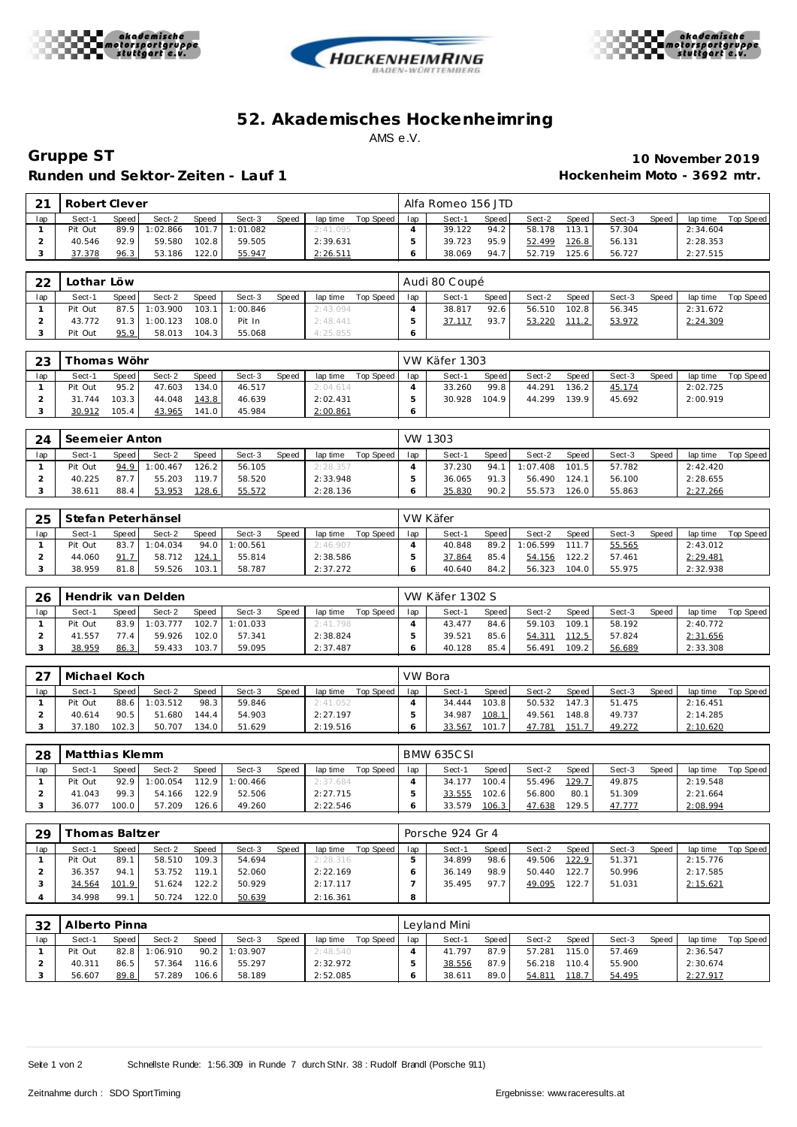





## **52. Akademisches Hockenhe imring** AMS e.V.

**Gruppe ST 10 November 2019** Runden und Sektor-Zeiten - Lauf 1 **Mateural et al. 7 and 7 and 7 and 7 and 7 and 7 and 7 and 7 and 7 and 7 and 7 and 7 and 7 and 7 and 7 and 7 and 7 and 7 and 7 and 7 and 7 and 7 and 7 and 7 and 7 and 7 and 7 and 7 and 7 a** 

| $\bigcap$ 1 | Robert Clever |       |         |              |          |       |          |           |     | Alfa Romeo 156 JTD |         |        |         |        |       |          |           |
|-------------|---------------|-------|---------|--------------|----------|-------|----------|-----------|-----|--------------------|---------|--------|---------|--------|-------|----------|-----------|
| lap         | Sect-1        | Speed | Sect-2  | <b>Speed</b> | Sect-3   | Speed | lap time | Top Speed | lap | Sect-1             | Speed I | Sect-2 | Speed I | Sect-3 | Speed | lap time | Top Speed |
|             | Pit Out       | 89.9  | :02.866 | 101.7        | 1:01.082 |       | 2:41.095 |           |     | 39.122             | 94.2    | 58.178 | 113.11  | 57.304 |       | 2:34.604 |           |
|             | 40.546        | 92.9  | 59.580  | 102.8        | 59.505   |       | 2:39.631 |           |     | 39.723             | 95.9    | 52.499 | 126.8   | 56.131 |       | 2:28.353 |           |
|             | 37.378        | 96.3  | 53.186  | 122.0        | 55.947   |       | 2:26.511 |           |     | 38.069             | 94.7    | 52.719 | 125.6   | 56.727 |       | 2:27.515 |           |

| 22  | Lothar Löw |       |                 |       |          |       |          |           |     | Audi 80 Coupé |         |        |       |        |       |          |           |
|-----|------------|-------|-----------------|-------|----------|-------|----------|-----------|-----|---------------|---------|--------|-------|--------|-------|----------|-----------|
| lap | Sect-1     | Speed | Sect-2          | Speed | Sect-3   | Speed | lap time | Top Speed | lap | Sect-1        | Speed I | Sect-2 | Speed | Sect-3 | Speed | lap time | Top Speed |
|     | Pit Out    |       | 87.5 1:03.900   | 103.1 | 1:00.846 |       | 2:43.094 |           |     | 38.817        | 92.6    | 56.510 | 102.8 | 56.345 |       | 2:31.672 |           |
|     | 43.772     |       | $91.3$ 1:00.123 | 108.0 | Pit In   |       | 2:48.441 |           |     | 37.117        | 93.7    | 53.220 | 111.2 | 53.972 |       | 2:24.309 |           |
|     | Pit Out    | 95.9  | 58.013          | 104.3 | 55.068   |       | 4:25.855 |           |     |               |         |        |       |        |       |          |           |

| 23  |         | homas Wöhr |        |       |        |       |          |           |     | VW Käfer 1303 |         |        |       |        |       |          |           |
|-----|---------|------------|--------|-------|--------|-------|----------|-----------|-----|---------------|---------|--------|-------|--------|-------|----------|-----------|
| lap | Sect-1  | Speed      | Sect-2 | Speed | Sect-3 | Speed | lap time | Top Speed | lap | Sect-1        | Speed I | Sect-2 | Speed | Sect-3 | Speed | lap time | Top Speed |
|     | Pit Out | 95.2       | 47.603 | 134.0 | 46.517 |       | 2:04.614 |           |     | 33.260        | 99.8    | 44.291 | 136.2 | 45.174 |       | 2:02.725 |           |
|     | 31.744  | 103.3      | 44.048 | 143.8 | 46.639 |       | 2:02.431 |           |     | 30.928        | 104.9   | 44.299 | 139.9 | 45.692 |       | 2:00.919 |           |
|     | 30.912  | 105.4      | 43.965 | 141.0 | 45.984 |       | 2:00.861 |           |     |               |         |        |       |        |       |          |           |

| 24  | Seemeier Anton |       |               |              |        |       |          |           |     | VW 1303 |       |          |       |        |       |          |           |
|-----|----------------|-------|---------------|--------------|--------|-------|----------|-----------|-----|---------|-------|----------|-------|--------|-------|----------|-----------|
| lap | Sect-1         | Speed | Sect-2        | <b>Speed</b> | Sect-3 | Speed | lap time | Top Speed | lap | Sect-1  | Speed | Sect-2   | Speed | Sect-3 | Speed | lap time | Top Speed |
|     | Pit Out        |       | 94.9 1:00.467 | 126.2        | 56.105 |       | 2:28.357 |           |     | 37.230  | 94.1  | 1:07.408 | 101.5 | 57.782 |       | 2:42.420 |           |
|     | 40.225         | 87.7  | 55.203        | 119.7        | 58.520 |       | 2:33.948 |           |     | 36.065  | 91.3  | 56.490   | 124.1 | 56.100 |       | 2:28.655 |           |
|     | 38.611         | 88.4  | 53.953        | 128.6        | 55.572 |       | 2:28.136 |           |     | 35.830  | 90.2  | 55.573   | 126.0 | 55.863 |       | 2:27.266 |           |

| 25  |         |       | Stefan Peterhänsel |              |          |       |          |           |     | VW Käfer |       |         |       |        |              |          |           |
|-----|---------|-------|--------------------|--------------|----------|-------|----------|-----------|-----|----------|-------|---------|-------|--------|--------------|----------|-----------|
| lap | Sect-1  | Speed | Sect-2             | <b>Speed</b> | Sect-3   | Speed | lap time | Top Speed | lap | Sect-1   | Speed | Sect-2  | Speed | Sect-3 | <b>Speed</b> | lap time | Top Speed |
|     | Pit Out | 83.7  | 1:04.034           | 94.0         | 1:00.561 |       | 2:46.907 |           |     | 40.848   | 89.2  | :06.599 | 111.7 | 55.565 |              | 2:43.012 |           |
|     | 44.060  | 91.7  | 58.712             | 124.7        | 55.814   |       | 2:38.586 |           |     | 37.864   | 85.4  | 54.156  | 122.2 | 57.461 |              | 2:29.481 |           |
|     | 38.959  | 81.8  | 59.526             | 103.1        | 58.787   |       | 2:37.272 |           |     | 40.640   | 84.2  | 56.323  | 104.0 | 55.975 |              | 2:32.938 |           |

| 26  |         |       | Hendrik van Delden |              |          |       |          |           |     | VW Käfer 1302 S |       |        |       |        |       |          |           |
|-----|---------|-------|--------------------|--------------|----------|-------|----------|-----------|-----|-----------------|-------|--------|-------|--------|-------|----------|-----------|
| lap | Sect-1  | Speed | Sect-2             | <b>Speed</b> | Sect-3   | Speed | lap time | Top Speed | lap | Sect-1          | Speed | Sect-2 | Speed | Sect-3 | Speed | lap time | Top Speed |
|     | Pit Out | 83.9  | 1:03.777           | 102.7        | 1:01.033 |       | 2:41.798 |           |     | 43.477          | 84.6  | 59.103 | 109.1 | 58.192 |       | 2:40.772 |           |
|     | 41.557  | 77.4  | 59.926             | 102.0        | 57.341   |       | 2:38.824 |           |     | 39.521          | 85.6  | 54.311 | 112.5 | 57.824 |       | 2:31.656 |           |
|     | 38.959  | 86.3  | 59.433             | 103.7        | 59.095   |       | 2:37.487 |           |     | 40.128          | 85.4  | 56.491 | 109.2 | 56.689 |       | 2:33.308 |           |

| $\cap$ | Michael Koch |       |          |              |        |              |          |           | VW Bora |        |       |        |         |        |              |          |           |
|--------|--------------|-------|----------|--------------|--------|--------------|----------|-----------|---------|--------|-------|--------|---------|--------|--------------|----------|-----------|
| lap    | Sect-1       | Speed | Sect-2   | <b>Speed</b> | Sect-3 | <b>Speed</b> | lap time | Top Speed | lap     | Sect-1 | Speed | Sect-2 | Speed I | Sect-3 | <b>Speed</b> | lap time | Top Speed |
|        | Pit Out      | 88.6  | : 03.512 | 98.3         | 59.846 |              | 2:41.052 |           |         | 34.444 | 103.8 | 50.532 | 147.3   | 51.475 |              | 2:16.451 |           |
|        | 40.614       | 90.5  | 51.680   | 144.4        | 54.903 |              | 2:27.197 |           |         | 34.987 | 108.1 | 49.561 | 148.8   | 49.737 |              | 2:14.285 |           |
|        | 37.180       | 102.3 | 50.707   | 134.0        | 51.629 |              | 2:19.516 |           |         | 33.567 | 101.7 | 47.781 | 151.7   | 49.272 |              | 2:10.620 |           |

| 28  | Matthias Klemm |              |         |              |          |       |          |           |     | <b>BMW 635CSI</b> |       |        |       |        |              |          |                  |
|-----|----------------|--------------|---------|--------------|----------|-------|----------|-----------|-----|-------------------|-------|--------|-------|--------|--------------|----------|------------------|
| lap | Sect-1         | <b>Speed</b> | Sect-2  | <b>Speed</b> | Sect-3   | Speed | lap time | Top Speed | lap | Sect-1            | Speed | Sect-2 | Speed | Sect-3 | <b>Speed</b> | lap time | <b>Top Speed</b> |
|     | Pit Out        | 92.9         | :00.054 | 112.9        | 1:00.466 |       | 2:37.684 |           |     | 34.177            | 100.4 | 55.496 | 129.7 | 49.875 |              | 2:19.548 |                  |
|     | 41.043         | 99.3         | 54.166  | 122.9        | 52.506   |       | 2:27.715 |           |     | 33.555            | 102.6 | 56.800 | 80.1  | 51.309 |              | 2:21.664 |                  |
|     | 36.077         | 100.0        | 57.209  | 126.6        | 49.260   |       | 2:22.546 |           |     | 33.579            | 106.3 | 47.638 | 129.5 | 47.777 |              | 2:08.994 |                  |

| 29  |         | homas Baltzer |        |              |        |       |          |           |     | Porsche 924 Gr 4 |       |        |                    |        |              |          |           |
|-----|---------|---------------|--------|--------------|--------|-------|----------|-----------|-----|------------------|-------|--------|--------------------|--------|--------------|----------|-----------|
| lap | Sect-1  | Speed         | Sect-2 | <b>Speed</b> | Sect-3 | Speed | lap time | Top Speed | lap | Sect-1           | Speed | Sect-2 | Speed              | Sect-3 | <b>Speed</b> | lap time | Top Speed |
|     | Pit Out | 89.1          | 58.510 | 109.3        | 54.694 |       | 2:28.316 |           |     | 34.899           | 98.6  | 49.506 | 122.9              | 51.371 |              | 2:15.776 |           |
|     | 36.357  | 94.1          | 53.752 | 119.1        | 52.060 |       | 2:22.169 |           |     | 36.149           | 98.9  | 50.440 | 122.7              | 50.996 |              | 2:17.585 |           |
|     | 34.564  | 101.9         | 51.624 | 122.2        | 50.929 |       | 2:17.117 |           |     | 35.495           | 97.7  | 49.095 | 122.7 <sub>1</sub> | 51.031 |              | 2:15.621 |           |
|     | 34.998  | 99.           | 50.724 | 122.0        | 50.639 |       | 2:16.361 |           | 8   |                  |       |        |                    |        |              |          |           |

| 32  | Alberto Pinna |       |               |       |          |       |          |           |     | Levland Mini |       |        |       |        |              |          |                  |
|-----|---------------|-------|---------------|-------|----------|-------|----------|-----------|-----|--------------|-------|--------|-------|--------|--------------|----------|------------------|
| lap | Sect-1        | Speed | Sect-2        | Speed | Sect-3   | Speed | lap time | Top Speed | lap | Sect-1       | Speed | Sect-2 | Speed | Sect-3 | <b>Speed</b> | lap time | <b>Top Speed</b> |
|     | Pit Out       |       | 82.8 1:06.910 | 90.2  | 1:03.907 |       | 2:48.540 |           |     | 41.797       | 87.9  | 57.281 | 115.0 | 57.469 |              | 2:36.547 |                  |
|     | 40.311        | 86.5  | 57.364        | 116.6 | 55.297   |       | 2:32.972 |           |     | 38.556       | 87.9  | 56.218 | 110.4 | 55.900 |              | 2:30.674 |                  |
|     | 56.607        | 89.8  | 57.289        | 106.6 | 58.189   |       | 2:52.085 |           |     | 38.611       | 89.0  | 54.811 | 118.7 | 54.495 |              | 2:27.917 |                  |

Seite 1 von 2 Schnellste Runde: 1:56.309 in Runde 7 durch StNr. 38 : Rudolf Brandl (Porsche 911)